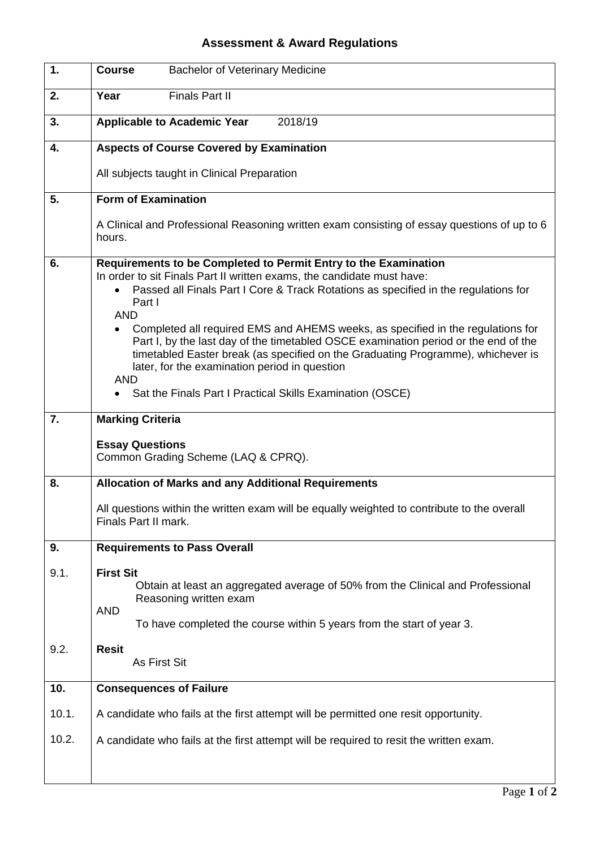## **Assessment & Award Regulations**

| 1.    | <b>Bachelor of Veterinary Medicine</b><br><b>Course</b>                                                                                                                                                                                                                                                                                                                                                                                                                                                                                                                                                                                            |
|-------|----------------------------------------------------------------------------------------------------------------------------------------------------------------------------------------------------------------------------------------------------------------------------------------------------------------------------------------------------------------------------------------------------------------------------------------------------------------------------------------------------------------------------------------------------------------------------------------------------------------------------------------------------|
| 2.    | Year<br><b>Finals Part II</b>                                                                                                                                                                                                                                                                                                                                                                                                                                                                                                                                                                                                                      |
| 3.    | <b>Applicable to Academic Year</b><br>2018/19                                                                                                                                                                                                                                                                                                                                                                                                                                                                                                                                                                                                      |
| 4.    | <b>Aspects of Course Covered by Examination</b>                                                                                                                                                                                                                                                                                                                                                                                                                                                                                                                                                                                                    |
|       | All subjects taught in Clinical Preparation                                                                                                                                                                                                                                                                                                                                                                                                                                                                                                                                                                                                        |
| 5.    | <b>Form of Examination</b>                                                                                                                                                                                                                                                                                                                                                                                                                                                                                                                                                                                                                         |
|       | A Clinical and Professional Reasoning written exam consisting of essay questions of up to 6<br>hours.                                                                                                                                                                                                                                                                                                                                                                                                                                                                                                                                              |
| 6.    | Requirements to be Completed to Permit Entry to the Examination<br>In order to sit Finals Part II written exams, the candidate must have:<br>Passed all Finals Part I Core & Track Rotations as specified in the regulations for<br>Part I<br><b>AND</b><br>Completed all required EMS and AHEMS weeks, as specified in the regulations for<br>Part I, by the last day of the timetabled OSCE examination period or the end of the<br>timetabled Easter break (as specified on the Graduating Programme), whichever is<br>later, for the examination period in question<br><b>AND</b><br>Sat the Finals Part I Practical Skills Examination (OSCE) |
|       |                                                                                                                                                                                                                                                                                                                                                                                                                                                                                                                                                                                                                                                    |
| 7.    | <b>Marking Criteria</b><br><b>Essay Questions</b><br>Common Grading Scheme (LAQ & CPRQ).                                                                                                                                                                                                                                                                                                                                                                                                                                                                                                                                                           |
| 8.    | <b>Allocation of Marks and any Additional Requirements</b>                                                                                                                                                                                                                                                                                                                                                                                                                                                                                                                                                                                         |
|       | All questions within the written exam will be equally weighted to contribute to the overall<br>Finals Part II mark.                                                                                                                                                                                                                                                                                                                                                                                                                                                                                                                                |
| 9.    | <b>Requirements to Pass Overall</b>                                                                                                                                                                                                                                                                                                                                                                                                                                                                                                                                                                                                                |
| 9.1.  | <b>First Sit</b><br>Obtain at least an aggregated average of 50% from the Clinical and Professional<br>Reasoning written exam<br><b>AND</b><br>To have completed the course within 5 years from the start of year 3.                                                                                                                                                                                                                                                                                                                                                                                                                               |
| 9.2.  | <b>Resit</b><br>As First Sit                                                                                                                                                                                                                                                                                                                                                                                                                                                                                                                                                                                                                       |
| 10.   | <b>Consequences of Failure</b>                                                                                                                                                                                                                                                                                                                                                                                                                                                                                                                                                                                                                     |
| 10.1. | A candidate who fails at the first attempt will be permitted one resit opportunity.                                                                                                                                                                                                                                                                                                                                                                                                                                                                                                                                                                |
| 10.2. | A candidate who fails at the first attempt will be required to resit the written exam.                                                                                                                                                                                                                                                                                                                                                                                                                                                                                                                                                             |